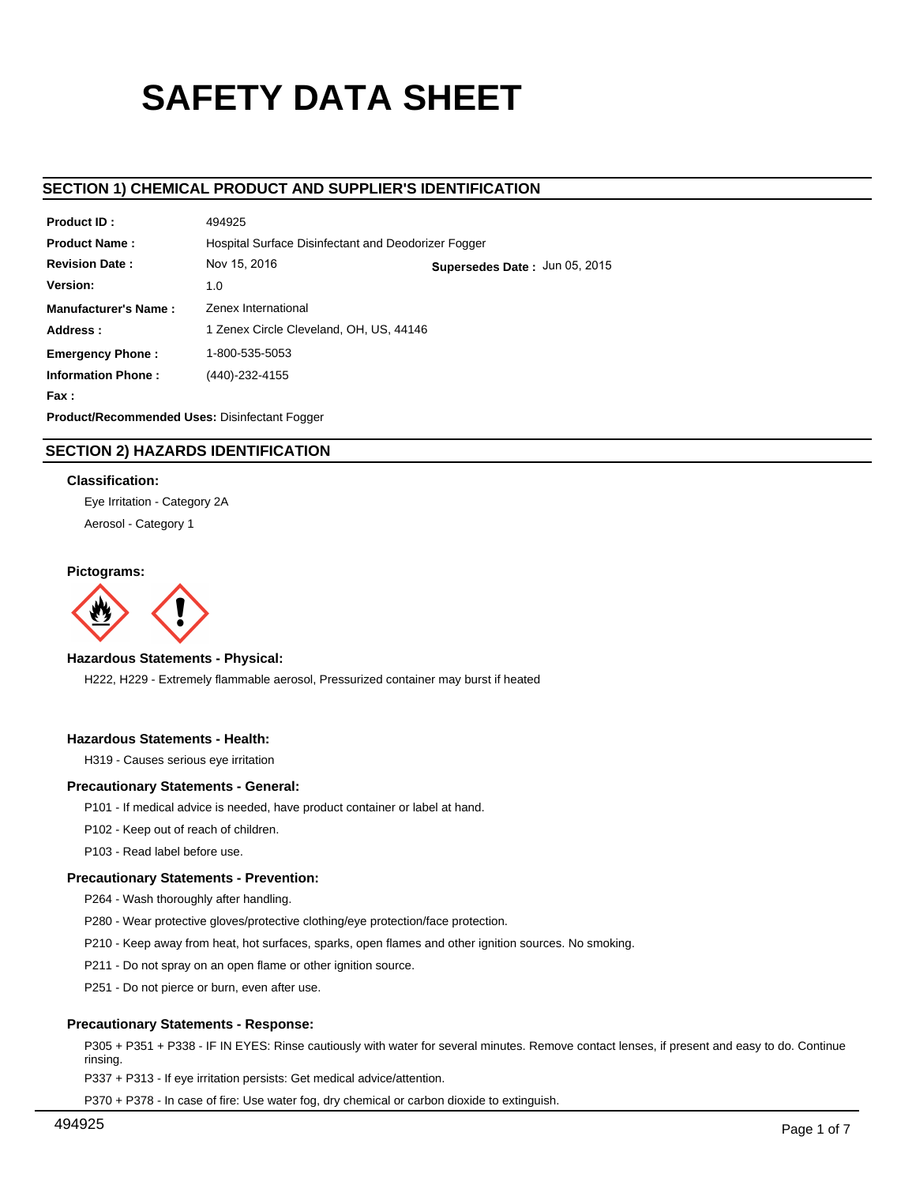# **SAFETY DATA SHEET**

# **SECTION 1) CHEMICAL PRODUCT AND SUPPLIER'S IDENTIFICATION**

| Product ID:                                          | 494925                                              |  |  |  |  |
|------------------------------------------------------|-----------------------------------------------------|--|--|--|--|
| <b>Product Name:</b>                                 | Hospital Surface Disinfectant and Deodorizer Fogger |  |  |  |  |
| <b>Revision Date:</b>                                | Nov 15, 2016<br>Supersedes Date: Jun 05, 2015       |  |  |  |  |
| Version:                                             | 1.0                                                 |  |  |  |  |
| <b>Manufacturer's Name:</b>                          | Zenex International                                 |  |  |  |  |
| Address:                                             | 1 Zenex Circle Cleveland, OH, US, 44146             |  |  |  |  |
| <b>Emergency Phone:</b>                              | 1-800-535-5053                                      |  |  |  |  |
| <b>Information Phone:</b>                            | (440)-232-4155                                      |  |  |  |  |
| Fax :                                                |                                                     |  |  |  |  |
| <b>Product/Recommended Uses: Disinfectant Fogger</b> |                                                     |  |  |  |  |

# **SECTION 2) HAZARDS IDENTIFICATION**

## **Classification:**

Eye Irritation - Category 2A Aerosol - Category 1

#### **Pictograms:**



## **Hazardous Statements - Physical:**

H222, H229 - Extremely flammable aerosol, Pressurized container may burst if heated

## **Hazardous Statements - Health:**

H319 - Causes serious eye irritation

## **Precautionary Statements - General:**

P101 - If medical advice is needed, have product container or label at hand.

P102 - Keep out of reach of children.

P103 - Read label before use.

## **Precautionary Statements - Prevention:**

P264 - Wash thoroughly after handling.

P280 - Wear protective gloves/protective clothing/eye protection/face protection.

- P210 Keep away from heat, hot surfaces, sparks, open flames and other ignition sources. No smoking.
- P211 Do not spray on an open flame or other ignition source.
- P251 Do not pierce or burn, even after use.

## **Precautionary Statements - Response:**

P305 + P351 + P338 - IF IN EYES: Rinse cautiously with water for several minutes. Remove contact lenses, if present and easy to do. Continue rinsing.

P337 + P313 - If eye irritation persists: Get medical advice/attention.

P370 + P378 - In case of fire: Use water fog, dry chemical or carbon dioxide to extinguish.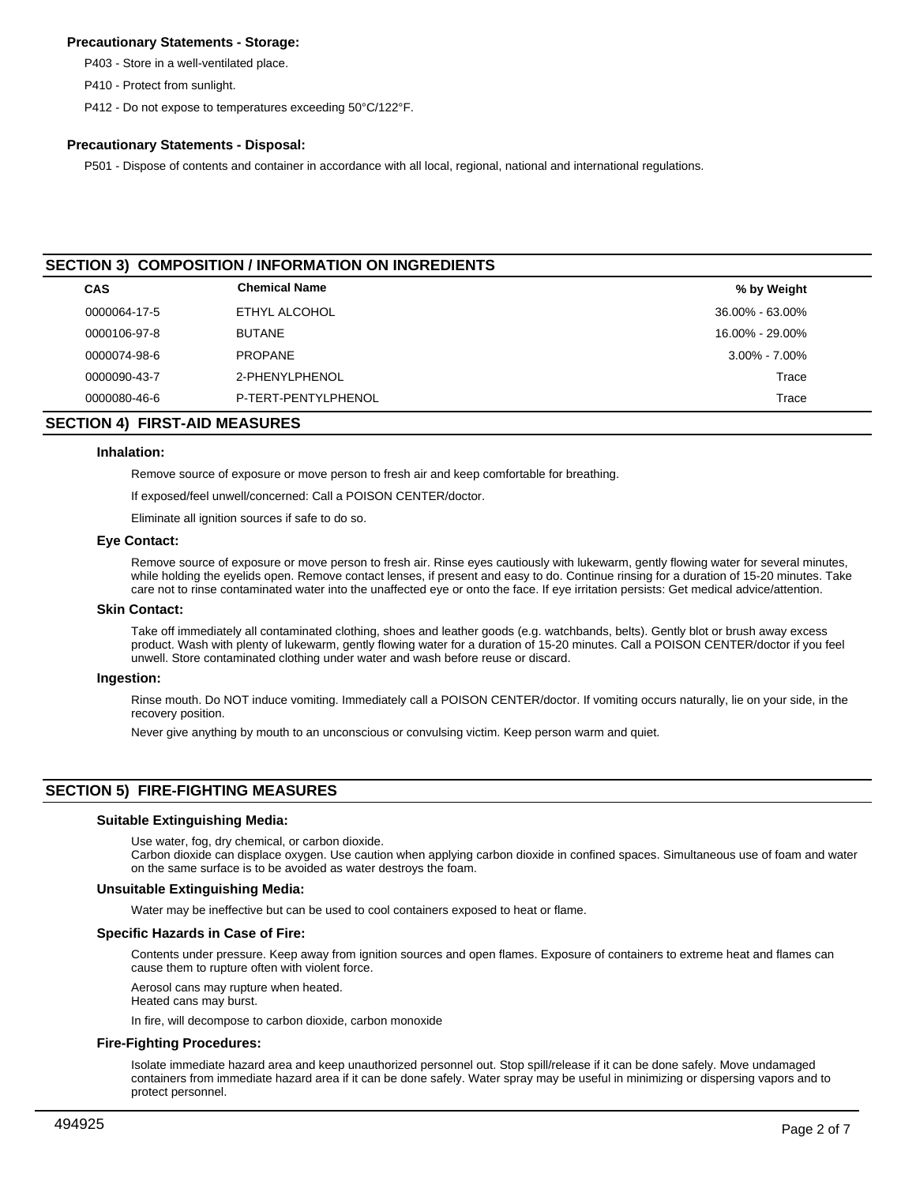## **Precautionary Statements - Storage:**

P403 - Store in a well-ventilated place.

P410 - Protect from sunlight.

P412 - Do not expose to temperatures exceeding 50°C/122°F.

## **Precautionary Statements - Disposal:**

P501 - Dispose of contents and container in accordance with all local, regional, national and international regulations.

# **SECTION 3) COMPOSITION / INFORMATION ON INGREDIENTS**

| <b>CAS</b>   | <b>Chemical Name</b> | % by Weight       |
|--------------|----------------------|-------------------|
| 0000064-17-5 | ETHYL ALCOHOL        | 36.00% - 63.00%   |
| 0000106-97-8 | <b>BUTANE</b>        | 16.00% - 29.00%   |
| 0000074-98-6 | PROPANE              | $3.00\% - 7.00\%$ |
| 0000090-43-7 | 2-PHENYLPHENOL       | Trace             |
| 0000080-46-6 | P-TERT-PENTYLPHENOL  | Trace             |

## **SECTION 4) FIRST-AID MEASURES**

#### **Inhalation:**

Remove source of exposure or move person to fresh air and keep comfortable for breathing.

If exposed/feel unwell/concerned: Call a POISON CENTER/doctor.

Eliminate all ignition sources if safe to do so.

## **Eye Contact:**

Remove source of exposure or move person to fresh air. Rinse eyes cautiously with lukewarm, gently flowing water for several minutes, while holding the eyelids open. Remove contact lenses, if present and easy to do. Continue rinsing for a duration of 15-20 minutes. Take care not to rinse contaminated water into the unaffected eye or onto the face. If eye irritation persists: Get medical advice/attention.

#### **Skin Contact:**

Take off immediately all contaminated clothing, shoes and leather goods (e.g. watchbands, belts). Gently blot or brush away excess product. Wash with plenty of lukewarm, gently flowing water for a duration of 15-20 minutes. Call a POISON CENTER/doctor if you feel unwell. Store contaminated clothing under water and wash before reuse or discard.

#### **Ingestion:**

Rinse mouth. Do NOT induce vomiting. Immediately call a POISON CENTER/doctor. If vomiting occurs naturally, lie on your side, in the recovery position.

Never give anything by mouth to an unconscious or convulsing victim. Keep person warm and quiet.

# **SECTION 5) FIRE-FIGHTING MEASURES**

#### **Suitable Extinguishing Media:**

Use water, fog, dry chemical, or carbon dioxide.

Carbon dioxide can displace oxygen. Use caution when applying carbon dioxide in confined spaces. Simultaneous use of foam and water on the same surface is to be avoided as water destroys the foam.

#### **Unsuitable Extinguishing Media:**

Water may be ineffective but can be used to cool containers exposed to heat or flame.

#### **Specific Hazards in Case of Fire:**

Contents under pressure. Keep away from ignition sources and open flames. Exposure of containers to extreme heat and flames can cause them to rupture often with violent force.

Aerosol cans may rupture when heated.

Heated cans may burst.

In fire, will decompose to carbon dioxide, carbon monoxide

#### **Fire-Fighting Procedures:**

Isolate immediate hazard area and keep unauthorized personnel out. Stop spill/release if it can be done safely. Move undamaged containers from immediate hazard area if it can be done safely. Water spray may be useful in minimizing or dispersing vapors and to protect personnel.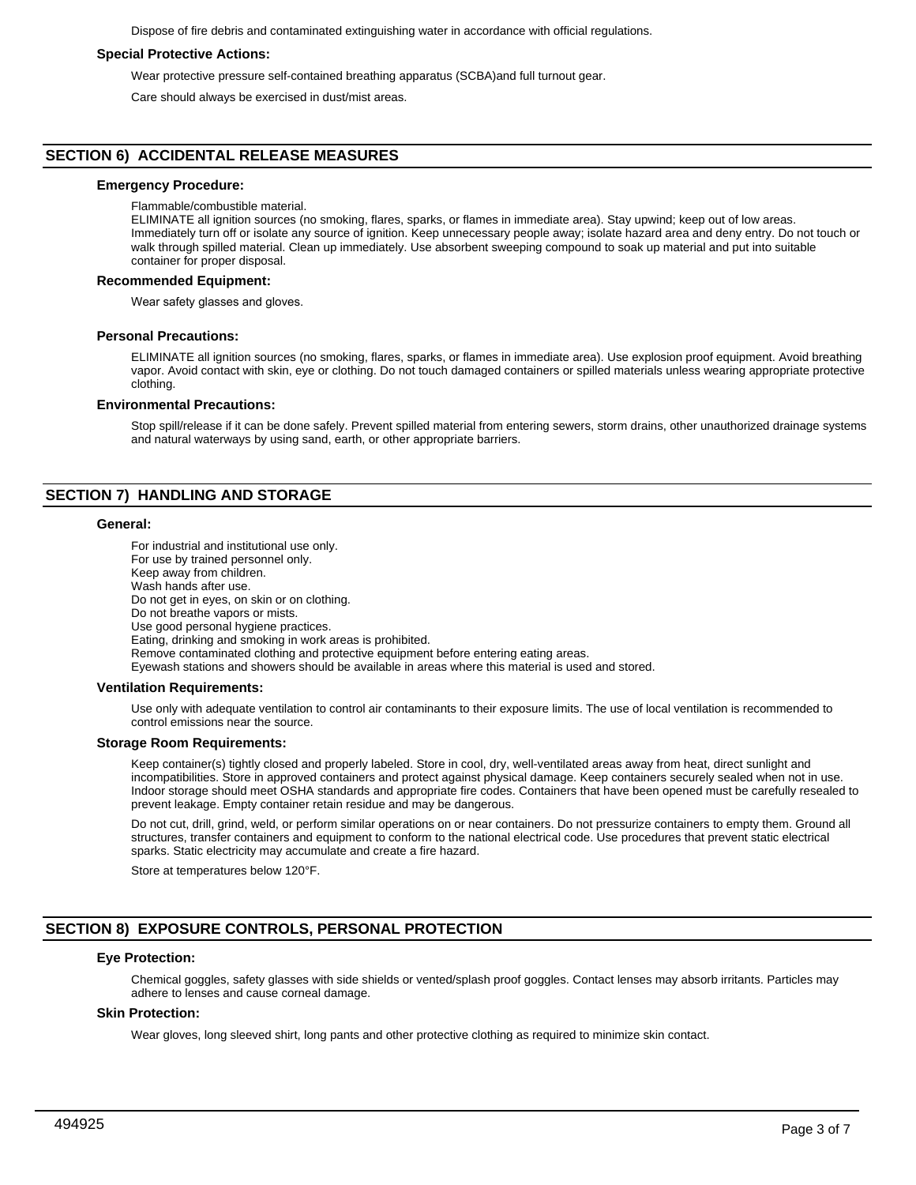Dispose of fire debris and contaminated extinguishing water in accordance with official regulations.

## **Special Protective Actions:**

Wear protective pressure self-contained breathing apparatus (SCBA)and full turnout gear.

Care should always be exercised in dust/mist areas.

# **SECTION 6) ACCIDENTAL RELEASE MEASURES**

#### **Emergency Procedure:**

Flammable/combustible material.

ELIMINATE all ignition sources (no smoking, flares, sparks, or flames in immediate area). Stay upwind; keep out of low areas. Immediately turn off or isolate any source of ignition. Keep unnecessary people away; isolate hazard area and deny entry. Do not touch or walk through spilled material. Clean up immediately. Use absorbent sweeping compound to soak up material and put into suitable container for proper disposal.

#### **Recommended Equipment:**

Wear safety glasses and gloves.

#### **Personal Precautions:**

ELIMINATE all ignition sources (no smoking, flares, sparks, or flames in immediate area). Use explosion proof equipment. Avoid breathing vapor. Avoid contact with skin, eye or clothing. Do not touch damaged containers or spilled materials unless wearing appropriate protective clothing.

#### **Environmental Precautions:**

Stop spill/release if it can be done safely. Prevent spilled material from entering sewers, storm drains, other unauthorized drainage systems and natural waterways by using sand, earth, or other appropriate barriers.

# **SECTION 7) HANDLING AND STORAGE**

#### **General:**

For industrial and institutional use only. For use by trained personnel only. Keep away from children. Wash hands after use. Do not get in eyes, on skin or on clothing. Do not breathe vapors or mists. Use good personal hygiene practices. Eating, drinking and smoking in work areas is prohibited. Remove contaminated clothing and protective equipment before entering eating areas. Eyewash stations and showers should be available in areas where this material is used and stored.

#### **Ventilation Requirements:**

Use only with adequate ventilation to control air contaminants to their exposure limits. The use of local ventilation is recommended to control emissions near the source.

#### **Storage Room Requirements:**

Keep container(s) tightly closed and properly labeled. Store in cool, dry, well-ventilated areas away from heat, direct sunlight and incompatibilities. Store in approved containers and protect against physical damage. Keep containers securely sealed when not in use. Indoor storage should meet OSHA standards and appropriate fire codes. Containers that have been opened must be carefully resealed to prevent leakage. Empty container retain residue and may be dangerous.

Do not cut, drill, grind, weld, or perform similar operations on or near containers. Do not pressurize containers to empty them. Ground all structures, transfer containers and equipment to conform to the national electrical code. Use procedures that prevent static electrical sparks. Static electricity may accumulate and create a fire hazard.

Store at temperatures below 120°F.

# **SECTION 8) EXPOSURE CONTROLS, PERSONAL PROTECTION**

#### **Eye Protection:**

Chemical goggles, safety glasses with side shields or vented/splash proof goggles. Contact lenses may absorb irritants. Particles may adhere to lenses and cause corneal damage.

## **Skin Protection:**

Wear gloves, long sleeved shirt, long pants and other protective clothing as required to minimize skin contact.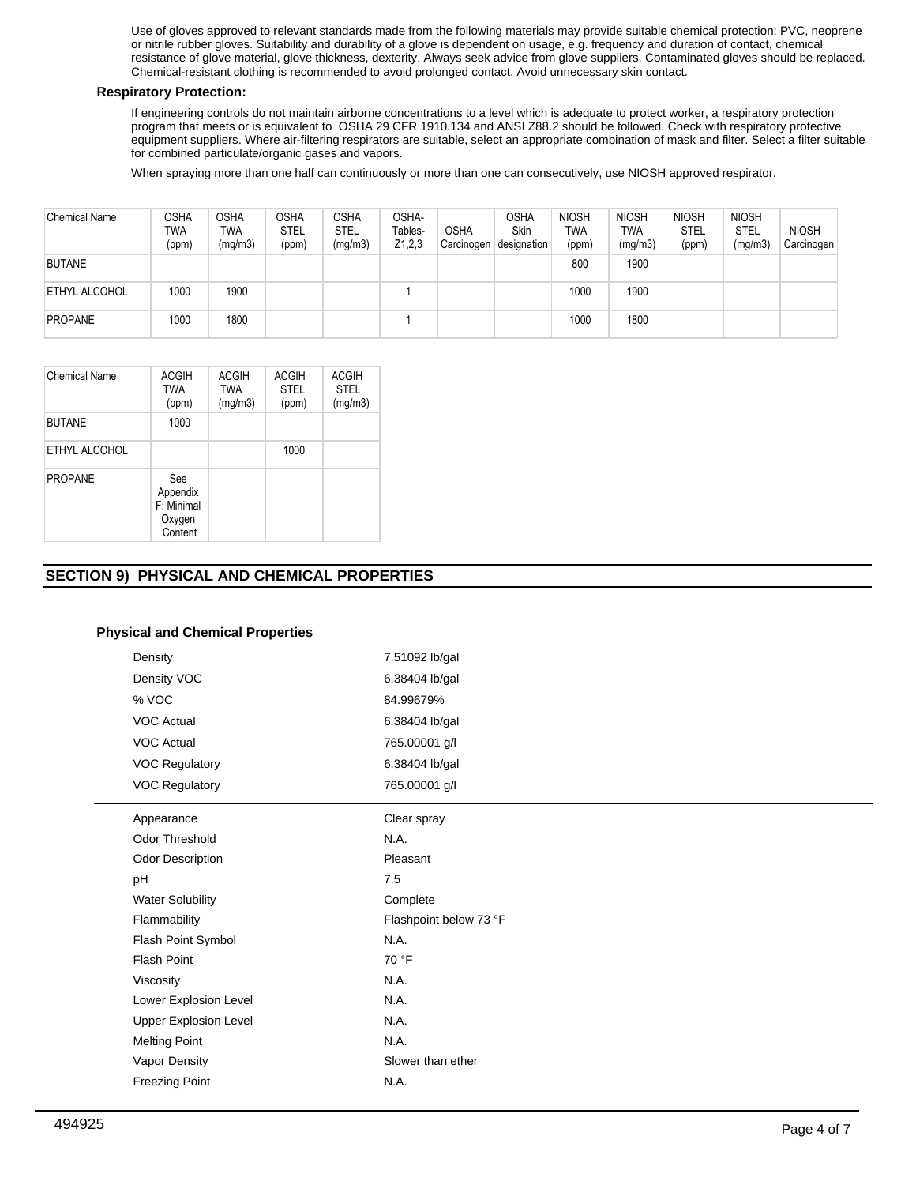Use of gloves approved to relevant standards made from the following materials may provide suitable chemical protection: PVC, neoprene or nitrile rubber gloves. Suitability and durability of a glove is dependent on usage, e.g. frequency and duration of contact, chemical resistance of glove material, glove thickness, dexterity. Always seek advice from glove suppliers. Contaminated gloves should be replaced. Chemical-resistant clothing is recommended to avoid prolonged contact. Avoid unnecessary skin contact.

## **Respiratory Protection:**

If engineering controls do not maintain airborne concentrations to a level which is adequate to protect worker, a respiratory protection program that meets or is equivalent to OSHA 29 CFR 1910.134 and ANSI Z88.2 should be followed. Check with respiratory protective equipment suppliers. Where air-filtering respirators are suitable, select an appropriate combination of mask and filter. Select a filter suitable for combined particulate/organic gases and vapors.

When spraying more than one half can continuously or more than one can consecutively, use NIOSH approved respirator.

| <b>Chemical Name</b> | OSHA<br>TWA<br>(ppm) | OSHA<br><b>TWA</b><br>(mg/m3) | <b>OSHA</b><br><b>STEL</b><br>(ppm) | OSHA<br><b>STEL</b><br>(mg/m3) | OSHA-<br>Tables-<br>Z1,2,3 | <b>OSHA</b><br>Carcinogen | <b>OSHA</b><br>Skin<br>designation | <b>NIOSH</b><br><b>TWA</b><br>(ppm) | <b>NIOSH</b><br><b>TWA</b><br>(mg/m3) | <b>NIOSH</b><br><b>STEL</b><br>(ppm) | <b>NIOSH</b><br><b>STEL</b><br>(mg/m3) | <b>NIOSH</b><br>Carcinogen |
|----------------------|----------------------|-------------------------------|-------------------------------------|--------------------------------|----------------------------|---------------------------|------------------------------------|-------------------------------------|---------------------------------------|--------------------------------------|----------------------------------------|----------------------------|
| <b>BUTANE</b>        |                      |                               |                                     |                                |                            |                           |                                    | 800                                 | 1900                                  |                                      |                                        |                            |
| <b>ETHYL ALCOHOL</b> | 1000                 | 1900                          |                                     |                                |                            |                           |                                    | 1000                                | 1900                                  |                                      |                                        |                            |
| <b>PROPANE</b>       | 1000                 | 1800                          |                                     |                                |                            |                           |                                    | 1000                                | 1800                                  |                                      |                                        |                            |

| Chemical Name  | ACGIH<br><b>TWA</b><br>(ppm)                       | <b>ACGIH</b><br><b>TWA</b><br>(mg/m3) | <b>ACGIH</b><br><b>STEL</b><br>(ppm) | <b>ACGIH</b><br><b>STEL</b><br>(mg/m3) |
|----------------|----------------------------------------------------|---------------------------------------|--------------------------------------|----------------------------------------|
| <b>BUTANE</b>  | 1000                                               |                                       |                                      |                                        |
| ETHYL ALCOHOL  |                                                    |                                       | 1000                                 |                                        |
| <b>PROPANE</b> | See<br>Appendix<br>F: Minimal<br>Oxygen<br>Content |                                       |                                      |                                        |

# **SECTION 9) PHYSICAL AND CHEMICAL PROPERTIES**

## **Physical and Chemical Properties**

| Density                      | 7.51092 lb/gal         |
|------------------------------|------------------------|
| Density VOC                  | 6.38404 lb/gal         |
| % VOC                        | 84.99679%              |
| <b>VOC Actual</b>            | 6.38404 lb/gal         |
| VOC Actual                   | 765.00001 g/l          |
| VOC Regulatory               | 6.38404 lb/gal         |
| <b>VOC Regulatory</b>        | 765.00001 g/l          |
| Appearance                   | Clear spray            |
| <b>Odor Threshold</b>        | N.A.                   |
| Odor Description             | Pleasant               |
| pH                           | 7.5                    |
| <b>Water Solubility</b>      | Complete               |
| Flammability                 | Flashpoint below 73 °F |
| Flash Point Symbol           | N.A.                   |
| <b>Flash Point</b>           | 70 °F                  |
| Viscosity                    | N.A.                   |
| Lower Explosion Level        | N.A.                   |
| <b>Upper Explosion Level</b> | N.A.                   |
| <b>Melting Point</b>         | N.A.                   |
| Vapor Density                | Slower than ether      |
| <b>Freezing Point</b>        | N.A.                   |
|                              |                        |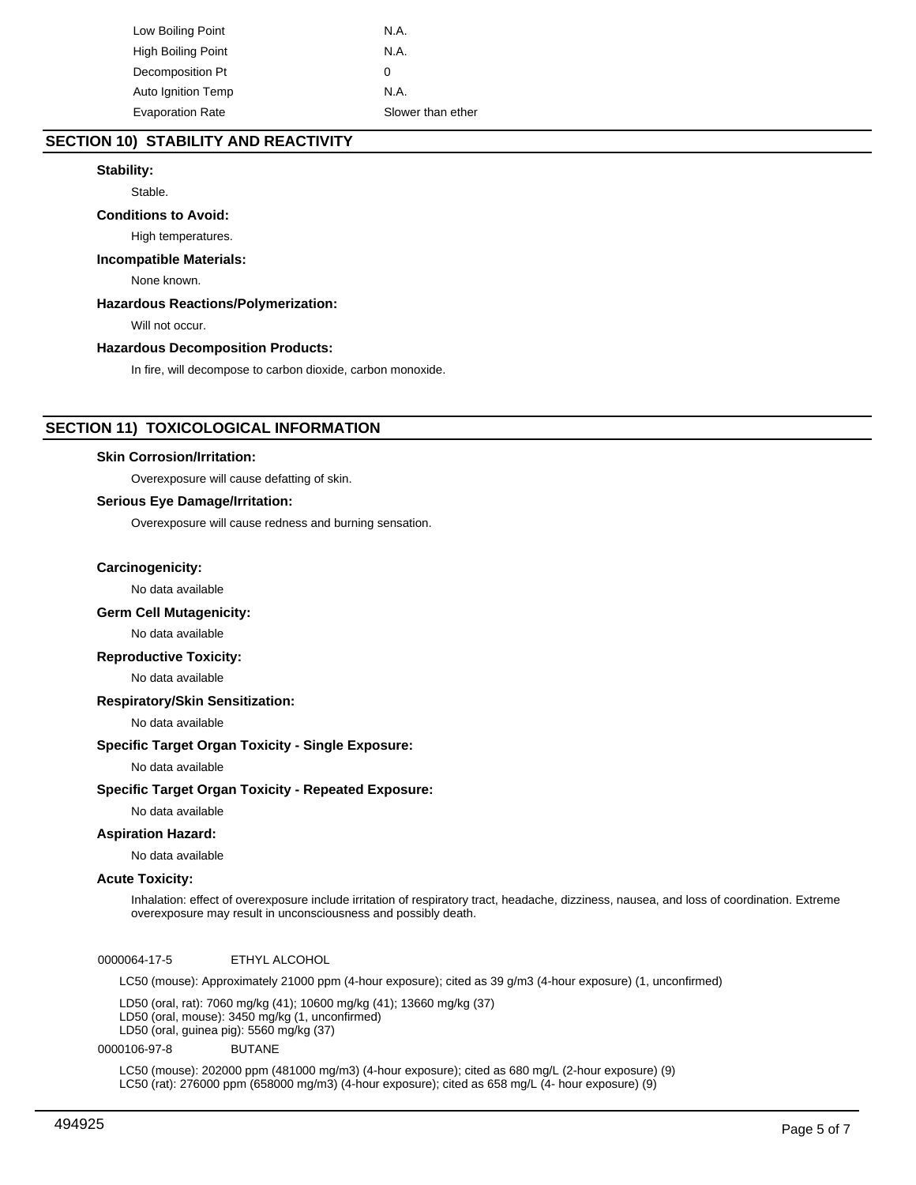| Low Boiling Point  | N.A.              |
|--------------------|-------------------|
| High Boiling Point | N.A.              |
| Decomposition Pt   | 0                 |
| Auto Ignition Temp | N.A.              |
| Evaporation Rate   | Slower than ether |

# **SECTION 10) STABILITY AND REACTIVITY**

# **Stability:**

Stable.

#### **Conditions to Avoid:**

High temperatures.

#### **Incompatible Materials:**

None known.

## **Hazardous Reactions/Polymerization:**

Will not occur.

## **Hazardous Decomposition Products:**

In fire, will decompose to carbon dioxide, carbon monoxide.

# **SECTION 11) TOXICOLOGICAL INFORMATION**

#### **Skin Corrosion/Irritation:**

Overexposure will cause defatting of skin.

## **Serious Eye Damage/Irritation:**

Overexposure will cause redness and burning sensation.

#### **Carcinogenicity:**

No data available

## **Germ Cell Mutagenicity:**

No data available

#### **Reproductive Toxicity:**

No data available

## **Respiratory/Skin Sensitization:**

No data available

#### **Specific Target Organ Toxicity - Single Exposure:**

No data available

## **Specific Target Organ Toxicity - Repeated Exposure:**

# No data available

#### **Aspiration Hazard:**

No data available

## **Acute Toxicity:**

Inhalation: effect of overexposure include irritation of respiratory tract, headache, dizziness, nausea, and loss of coordination. Extreme overexposure may result in unconsciousness and possibly death.

## 0000064-17-5 ETHYL ALCOHOL

LC50 (mouse): Approximately 21000 ppm (4-hour exposure); cited as 39 g/m3 (4-hour exposure) (1, unconfirmed)

LD50 (oral, rat): 7060 mg/kg (41); 10600 mg/kg (41); 13660 mg/kg (37) LD50 (oral, mouse): 3450 mg/kg (1, unconfirmed) LD50 (oral, guinea pig): 5560 mg/kg (37) 0000106-97-8 BUTANE

LC50 (mouse): 202000 ppm (481000 mg/m3) (4-hour exposure); cited as 680 mg/L (2-hour exposure) (9) LC50 (rat): 276000 ppm (658000 mg/m3) (4-hour exposure); cited as 658 mg/L (4- hour exposure) (9)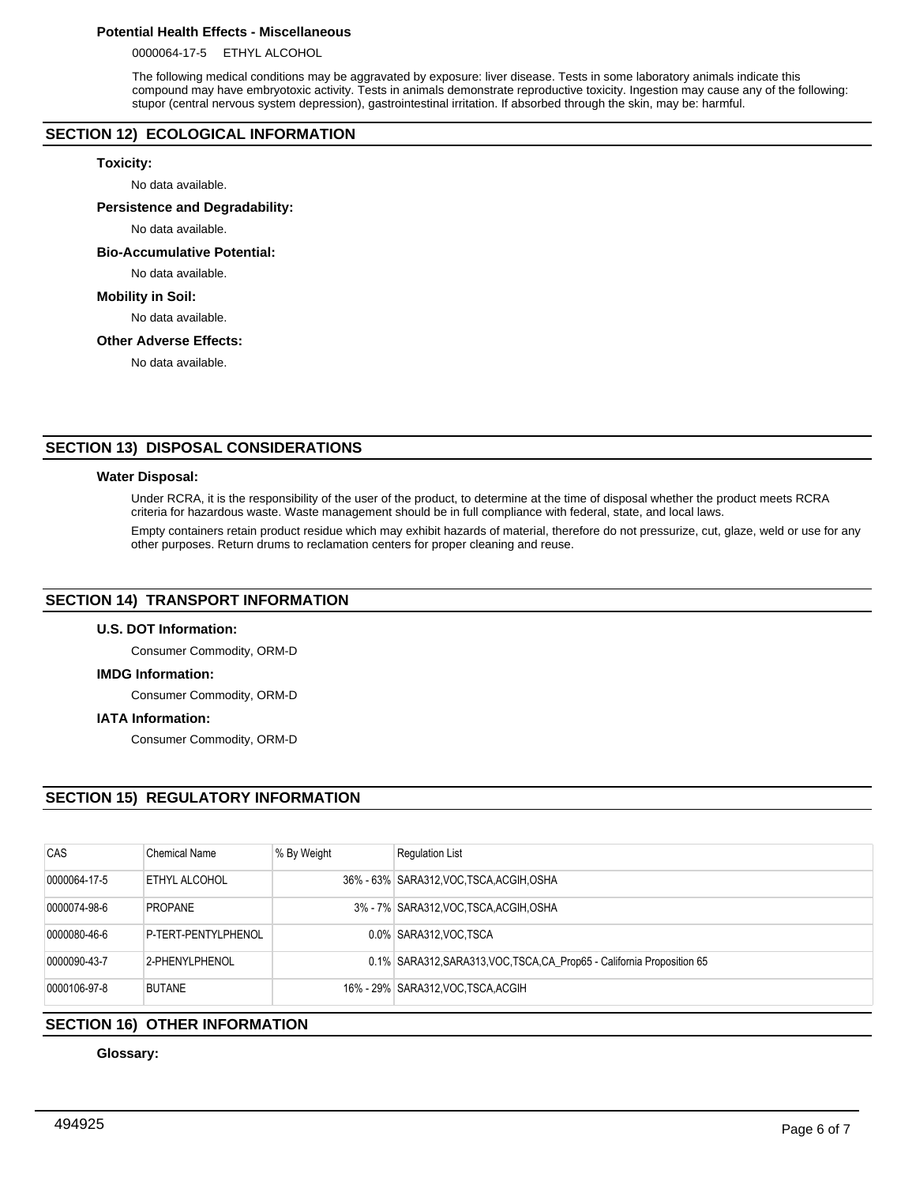# **Potential Health Effects - Miscellaneous**

0000064-17-5 ETHYL ALCOHOL

The following medical conditions may be aggravated by exposure: liver disease. Tests in some laboratory animals indicate this compound may have embryotoxic activity. Tests in animals demonstrate reproductive toxicity. Ingestion may cause any of the following: stupor (central nervous system depression), gastrointestinal irritation. If absorbed through the skin, may be: harmful.

## **SECTION 12) ECOLOGICAL INFORMATION**

#### **Toxicity:**

No data available.

## **Persistence and Degradability:**

No data available.

#### **Bio-Accumulative Potential:**

No data available.

## **Mobility in Soil:**

No data available.

#### **Other Adverse Effects:**

No data available.

# **SECTION 13) DISPOSAL CONSIDERATIONS**

#### **Water Disposal:**

Under RCRA, it is the responsibility of the user of the product, to determine at the time of disposal whether the product meets RCRA criteria for hazardous waste. Waste management should be in full compliance with federal, state, and local laws.

Empty containers retain product residue which may exhibit hazards of material, therefore do not pressurize, cut, glaze, weld or use for any other purposes. Return drums to reclamation centers for proper cleaning and reuse.

# **SECTION 14) TRANSPORT INFORMATION**

## **U.S. DOT Information:**

Consumer Commodity, ORM-D

#### **IMDG Information:**

Consumer Commodity, ORM-D

#### **IATA Information:**

Consumer Commodity, ORM-D

## **SECTION 15) REGULATORY INFORMATION**

| CAS          | <b>Chemical Name</b> | % By Weight | <b>Requlation List</b>                                                  |
|--------------|----------------------|-------------|-------------------------------------------------------------------------|
| 0000064-17-5 | ETHYL ALCOHOL        |             | 36% - 63% SARA312, VOC TSCA, ACGIH, OSHA                                |
| 0000074-98-6 | <b>PROPANE</b>       |             | 3% - 7% SARA312, VOC, TSCA, ACGIH, OSHA                                 |
| 0000080-46-6 | P-TERT-PENTYLPHENOL  |             | 0.0% SARA312, VOC TSCA                                                  |
| 0000090-43-7 | 2-PHENYLPHENOL       |             | 0.1% SARA312, SARA313, VOC, TSCA, CA_Prop65 - California Proposition 65 |
| 0000106-97-8 | <b>BUTANE</b>        |             | 16% - 29% SARA312, VOC, TSCA, ACGIH                                     |

# **SECTION 16) OTHER INFORMATION**

#### **Glossary:**